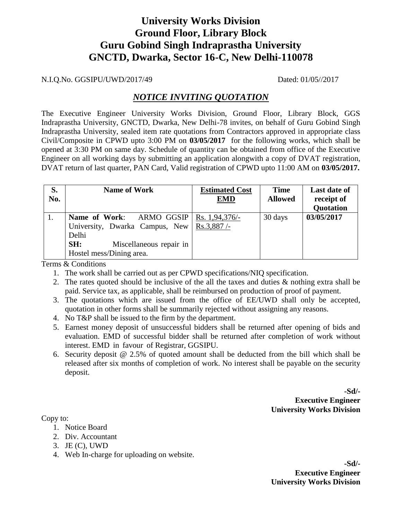# **University Works Division Ground Floor, Library Block Guru Gobind Singh Indraprastha University GNCTD, Dwarka, Sector 16-C, New Delhi-110078**

N.I.Q.No. GGSIPU/UWD/2017/49 Dated: 01/05//2017

### *NOTICE INVITING QUOTATION*

The Executive Engineer University Works Division, Ground Floor, Library Block, GGS Indraprastha University, GNCTD, Dwarka, New Delhi-78 invites, on behalf of Guru Gobind Singh Indraprastha University, sealed item rate quotations from Contractors approved in appropriate class Civil/Composite in CPWD upto 3:00 PM on **03/05/2017** for the following works, which shall be opened at 3:30 PM on same day. Schedule of quantity can be obtained from office of the Executive Engineer on all working days by submitting an application alongwith a copy of DVAT registration, DVAT return of last quarter, PAN Card, Valid registration of CPWD upto 11:00 AM on **03/05/2017.**

| S.<br>No. | <b>Name of Work</b>                                                                  | <b>Estimated Cost</b><br><b>EMD</b> | <b>Time</b><br><b>Allowed</b> | <b>Last date of</b><br>receipt of<br>Quotation |
|-----------|--------------------------------------------------------------------------------------|-------------------------------------|-------------------------------|------------------------------------------------|
|           | ARMO GGSIP<br>Name of Work:<br>University, Dwarka Campus, New   Rs.3,887 /-<br>Delhi | $\vert$ Rs. 1,94,376/-              | 30 days                       | 03/05/2017                                     |
|           | SH:<br>Miscellaneous repair in<br>Hostel mess/Dining area.                           |                                     |                               |                                                |

Terms & Conditions

- 1. The work shall be carried out as per CPWD specifications/NIQ specification.
- 2. The rates quoted should be inclusive of the all the taxes and duties & nothing extra shall be paid. Service tax, as applicable, shall be reimbursed on production of proof of payment.
- 3. The quotations which are issued from the office of EE/UWD shall only be accepted, quotation in other forms shall be summarily rejected without assigning any reasons.
- 4. No T&P shall be issued to the firm by the department.
- 5. Earnest money deposit of unsuccessful bidders shall be returned after opening of bids and evaluation. EMD of successful bidder shall be returned after completion of work without interest. EMD in favour of Registrar, GGSIPU.
- 6. Security deposit @ 2.5% of quoted amount shall be deducted from the bill which shall be released after six months of completion of work. No interest shall be payable on the security deposit.

**-Sd/- Executive Engineer University Works Division**

Copy to:

- 1. Notice Board
- 2. Div. Accountant
- 3. JE (C), UWD
- 4. Web In-charge for uploading on website.

**-Sd/- Executive Engineer University Works Division**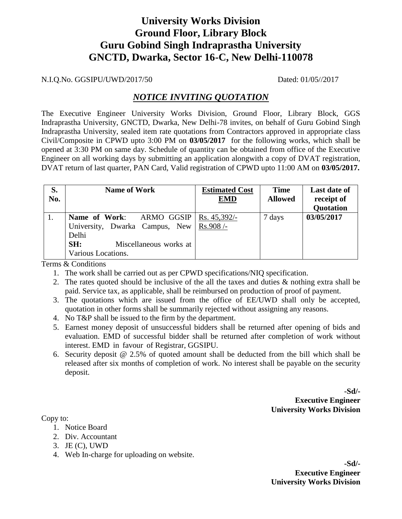# **University Works Division Ground Floor, Library Block Guru Gobind Singh Indraprastha University GNCTD, Dwarka, Sector 16-C, New Delhi-110078**

N.I.Q.No. GGSIPU/UWD/2017/50 Dated: 01/05//2017

### *NOTICE INVITING QUOTATION*

The Executive Engineer University Works Division, Ground Floor, Library Block, GGS Indraprastha University, GNCTD, Dwarka, New Delhi-78 invites, on behalf of Guru Gobind Singh Indraprastha University, sealed item rate quotations from Contractors approved in appropriate class Civil/Composite in CPWD upto 3:00 PM on **03/05/2017** for the following works, which shall be opened at 3:30 PM on same day. Schedule of quantity can be obtained from office of the Executive Engineer on all working days by submitting an application alongwith a copy of DVAT registration, DVAT return of last quarter, PAN Card, Valid registration of CPWD upto 11:00 AM on **03/05/2017.**

| S.<br>No. | <b>Name of Work</b>            | <b>Estimated Cost</b><br><b>EMD</b> | <b>Time</b><br><b>Allowed</b> | <b>Last date of</b><br>receipt of |
|-----------|--------------------------------|-------------------------------------|-------------------------------|-----------------------------------|
|           |                                |                                     |                               | <b>Quotation</b>                  |
|           | Name of Work:<br>ARMO GGSIP    | Rs. $45,392/-$                      | 7 days                        | 03/05/2017                        |
|           | University, Dwarka Campus, New | $Rs.908/-$                          |                               |                                   |
|           | Delhi                          |                                     |                               |                                   |
|           | SH:<br>Miscellaneous works at  |                                     |                               |                                   |
|           | Various Locations.             |                                     |                               |                                   |

Terms & Conditions

- 1. The work shall be carried out as per CPWD specifications/NIQ specification.
- 2. The rates quoted should be inclusive of the all the taxes and duties & nothing extra shall be paid. Service tax, as applicable, shall be reimbursed on production of proof of payment.
- 3. The quotations which are issued from the office of EE/UWD shall only be accepted, quotation in other forms shall be summarily rejected without assigning any reasons.
- 4. No T&P shall be issued to the firm by the department.
- 5. Earnest money deposit of unsuccessful bidders shall be returned after opening of bids and evaluation. EMD of successful bidder shall be returned after completion of work without interest. EMD in favour of Registrar, GGSIPU.
- 6. Security deposit @ 2.5% of quoted amount shall be deducted from the bill which shall be released after six months of completion of work. No interest shall be payable on the security deposit.

**-Sd/- Executive Engineer University Works Division**

Copy to:

- 1. Notice Board
- 2. Div. Accountant
- 3. JE (C), UWD
- 4. Web In-charge for uploading on website.

**-Sd/- Executive Engineer University Works Division**